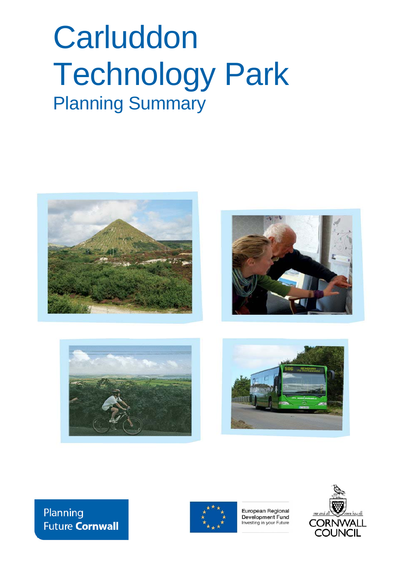# **Carluddon** Technology Park Planning Summary









# Planning **Future Cornwall**



European Regional Development Fund Investing in your Future

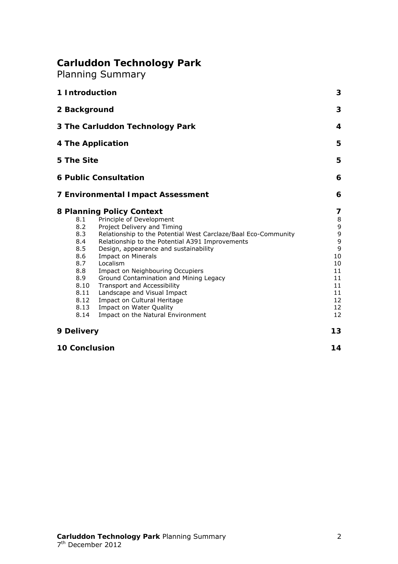# **Carluddon Technology Park**

Planning Summary

| 1 Introduction                                                                                      |                                                                                                                                                                                                                                                                                                                                                                                                                                                                                                                                               | 3                                                                                |
|-----------------------------------------------------------------------------------------------------|-----------------------------------------------------------------------------------------------------------------------------------------------------------------------------------------------------------------------------------------------------------------------------------------------------------------------------------------------------------------------------------------------------------------------------------------------------------------------------------------------------------------------------------------------|----------------------------------------------------------------------------------|
| 2 Background                                                                                        |                                                                                                                                                                                                                                                                                                                                                                                                                                                                                                                                               |                                                                                  |
| 3 The Carluddon Technology Park                                                                     |                                                                                                                                                                                                                                                                                                                                                                                                                                                                                                                                               |                                                                                  |
| 4 The Application                                                                                   |                                                                                                                                                                                                                                                                                                                                                                                                                                                                                                                                               | 5                                                                                |
| 5 The Site                                                                                          |                                                                                                                                                                                                                                                                                                                                                                                                                                                                                                                                               | 5                                                                                |
|                                                                                                     | <b>6 Public Consultation</b>                                                                                                                                                                                                                                                                                                                                                                                                                                                                                                                  | 6                                                                                |
|                                                                                                     | <b>7 Environmental Impact Assessment</b>                                                                                                                                                                                                                                                                                                                                                                                                                                                                                                      | 6                                                                                |
| 8.1<br>8.2<br>8.3<br>8.4<br>8.5<br>8.6<br>8.7<br>8.8<br>8.9<br>8.10<br>8.11<br>8.12<br>8.13<br>8.14 | 8 Planning Policy Context<br>Principle of Development<br>Project Delivery and Timing<br>Relationship to the Potential West Carclaze/Baal Eco-Community<br>Relationship to the Potential A391 Improvements<br>Design, appearance and sustainability<br><b>Impact on Minerals</b><br>Localism<br>Impact on Neighbouring Occupiers<br>Ground Contamination and Mining Legacy<br><b>Transport and Accessibility</b><br>Landscape and Visual Impact<br>Impact on Cultural Heritage<br>Impact on Water Quality<br>Impact on the Natural Environment | 7<br>8<br>9<br>9<br>9<br>9<br>10<br>10<br>11<br>11<br>11<br>11<br>12<br>12<br>12 |
| 9 Delivery                                                                                          |                                                                                                                                                                                                                                                                                                                                                                                                                                                                                                                                               | 13                                                                               |
| <b>10 Conclusion</b>                                                                                |                                                                                                                                                                                                                                                                                                                                                                                                                                                                                                                                               |                                                                                  |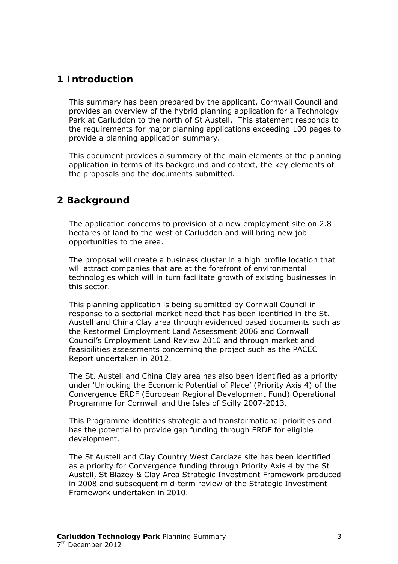# <span id="page-2-0"></span>**1 Introduction**

This summary has been prepared by the applicant, Cornwall Council and provides an overview of the hybrid planning application for a Technology Park at Carluddon to the north of St Austell. This statement responds to the requirements for major planning applications exceeding 100 pages to provide a planning application summary.

This document provides a summary of the main elements of the planning application in terms of its background and context, the key elements of the proposals and the documents submitted.

### <span id="page-2-1"></span>**2 Background**

The application concerns to provision of a new employment site on 2.8 hectares of land to the west of Carluddon and will bring new job opportunities to the area.

The proposal will create a business cluster in a high profile location that will attract companies that are at the forefront of environmental technologies which will in turn facilitate growth of existing businesses in this sector.

This planning application is being submitted by Cornwall Council in response to a sectorial market need that has been identified in the St. Austell and China Clay area through evidenced based documents such as the Restormel Employment Land Assessment 2006 and Cornwall Council's Employment Land Review 2010 and through market and feasibilities assessments concerning the project such as the PACEC Report undertaken in 2012.

The St. Austell and China Clay area has also been identified as a priority under 'Unlocking the Economic Potential of Place' (Priority Axis 4) of the Convergence ERDF (European Regional Development Fund) Operational Programme for Cornwall and the Isles of Scilly 2007-2013.

This Programme identifies strategic and transformational priorities and has the potential to provide gap funding through ERDF for eligible development.

The St Austell and Clay Country West Carclaze site has been identified as a priority for Convergence funding through Priority Axis 4 by the St Austell, St Blazey & Clay Area Strategic Investment Framework produced in 2008 and subsequent mid-term review of the Strategic Investment Framework undertaken in 2010.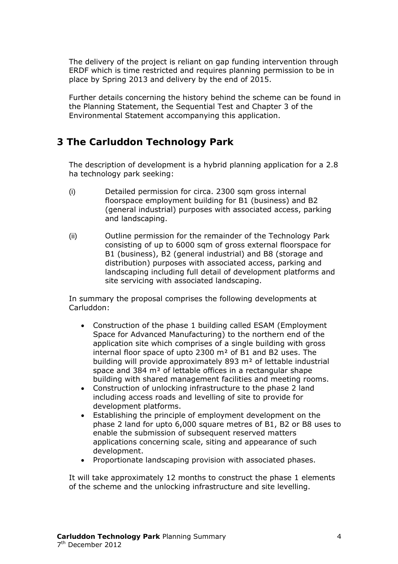The delivery of the project is reliant on gap funding intervention through ERDF which is time restricted and requires planning permission to be in place by Spring 2013 and delivery by the end of 2015.

Further details concerning the history behind the scheme can be found in the Planning Statement, the Sequential Test and Chapter 3 of the Environmental Statement accompanying this application.

# <span id="page-3-0"></span>**3 The Carluddon Technology Park**

The description of development is a hybrid planning application for a 2.8 ha technology park seeking:

- (i) Detailed permission for circa. 2300 sqm gross internal floorspace employment building for B1 (business) and B2 (general industrial) purposes with associated access, parking and landscaping.
- (ii) Outline permission for the remainder of the Technology Park consisting of up to 6000 sqm of gross external floorspace for B1 (business), B2 (general industrial) and B8 (storage and distribution) purposes with associated access, parking and landscaping including full detail of development platforms and site servicing with associated landscaping.

In summary the proposal comprises the following developments at Carluddon:

- Construction of the phase 1 building called ESAM (Employment Space for Advanced Manufacturing) to the northern end of the application site which comprises of a single building with gross internal floor space of upto  $2300 \text{ m}^2$  of B1 and B2 uses. The building will provide approximately 893 m<sup>2</sup> of lettable industrial space and  $384 \text{ m}^2$  of lettable offices in a rectangular shape building with shared management facilities and meeting rooms.
- Construction of unlocking infrastructure to the phase 2 land including access roads and levelling of site to provide for development platforms.
- Establishing the principle of employment development on the phase 2 land for upto 6,000 square metres of B1, B2 or B8 uses to enable the submission of subsequent reserved matters applications concerning scale, siting and appearance of such development.
- Proportionate landscaping provision with associated phases.

It will take approximately 12 months to construct the phase 1 elements of the scheme and the unlocking infrastructure and site levelling.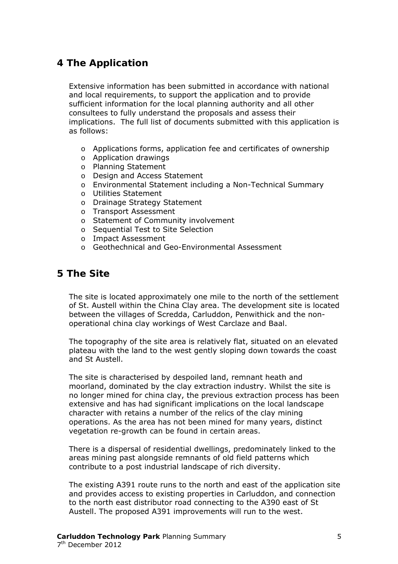# <span id="page-4-0"></span>**4 The Application**

Extensive information has been submitted in accordance with national and local requirements, to support the application and to provide sufficient information for the local planning authority and all other consultees to fully understand the proposals and assess their implications. The full list of documents submitted with this application is as follows:

- o Applications forms, application fee and certificates of ownership
- o Application drawings
- o Planning Statement
- o Design and Access Statement
- o Environmental Statement including a Non-Technical Summary
- o Utilities Statement
- o Drainage Strategy Statement
- o Transport Assessment
- o Statement of Community involvement
- o Sequential Test to Site Selection
- o Impact Assessment
- o Geothechnical and Geo-Environmental Assessment

### <span id="page-4-1"></span>**5 The Site**

The site is located approximately one mile to the north of the settlement of St. Austell within the China Clay area. The development site is located between the villages of Scredda, Carluddon, Penwithick and the nonoperational china clay workings of West Carclaze and Baal.

The topography of the site area is relatively flat, situated on an elevated plateau with the land to the west gently sloping down towards the coast and St Austell.

The site is characterised by despoiled land, remnant heath and moorland, dominated by the clay extraction industry. Whilst the site is no longer mined for china clay, the previous extraction process has been extensive and has had significant implications on the local landscape character with retains a number of the relics of the clay mining operations. As the area has not been mined for many years, distinct vegetation re-growth can be found in certain areas.

There is a dispersal of residential dwellings, predominately linked to the areas mining past alongside remnants of old field patterns which contribute to a post industrial landscape of rich diversity.

The existing A391 route runs to the north and east of the application site and provides access to existing properties in Carluddon, and connection to the north east distributor road connecting to the A390 east of St Austell. The proposed A391 improvements will run to the west.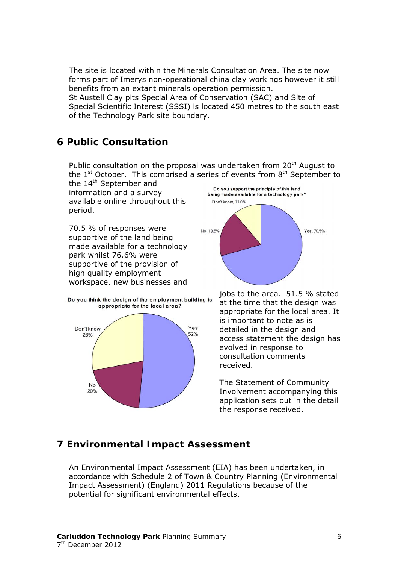The site is located within the Minerals Consultation Area. The site now forms part of Imerys non-operational china clay workings however it still benefits from an extant minerals operation permission.

St Austell Clay pits Special Area of Conservation (SAC) and Site of Special Scientific Interest (SSSI) is located 450 metres to the south east of the Technology Park site boundary.

# <span id="page-5-0"></span>**6 Public Consultation**

Public consultation on the proposal was undertaken from 20<sup>th</sup> August to the  $1<sup>st</sup>$  October. This comprised a series of events from  $8<sup>th</sup>$  September to

the 14<sup>th</sup> September and information and a survey available online throughout this period.

70.5 % of responses were supportive of the land being made available for a technology park whilst 76.6% were supportive of the provision of high quality employment workspace, new businesses and



Do you think the design of the employment building is appropriate for the local area?





application sets out in the detail the response received. The Statement of Community Involvement accompanying this

# <span id="page-5-1"></span>**7 Environmental Impact Assessment**

accordance with Schedule 2 of Town & Country Planning (Environmental Impact Assessment) (England) 2011 Regulations because of the potential for significant environmental effects. An Environmental Impact Assessment (EIA) has been undertaken, in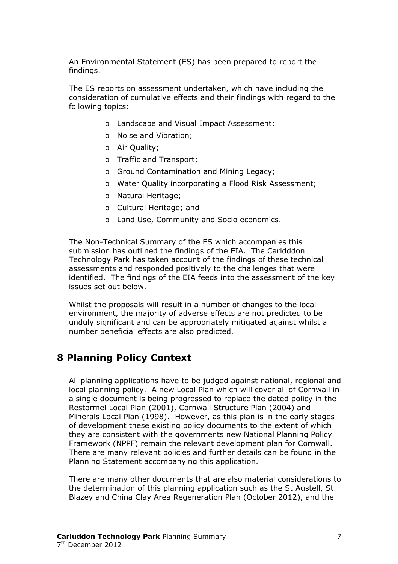An Environmental Statement (ES) has been prepared to report the findings.

The ES reports on assessment undertaken, which have including the consideration of cumulative effects and their findings with regard to the foll owing topics:

- o Landscape and Visual Impact Assessment;
- o Noise and Vibration;
- o Air Quality;
- o Traffic and Transport;
- o Ground Contamination and Mining Legacy;
- o Water Quality incorporating a Flood Risk Assessment;
- o Natural Heritage;
- o Cultural Heritage; and
- o Land Use, Community and Socio economics.

assessments and responded positively to the challenges that were identified. The findings of the EIA feeds into the assessment of the key The Non-Technical Summary of the ES which accompanies this submission has outlined the findings of the EIA. The Carldddon Technology Park has taken account of the findings of these technical issues set out below.

environment, the majority of adverse effects are not predicted to be unduly significant and can be appropriately mitigated against whilst a number beneficial effects are also predicted. Whilst the proposals will result in a number of changes to the local

# <span id="page-6-0"></span>**8 Planning Policy Context**

local planning policy. A new Local Plan which will cover all of Cornwall in Framework (NPPF) remain the relevant development plan for Cornwall. here are many relevant policies and further details can be found in the T All planning applications have to be judged against national, regional and a single document is being progressed to replace the dated policy in the Restormel Local Plan (2001), Cornwall Structure Plan (2004) and Minerals Local Plan (1998). However, as this plan is in the early stages of development these existing policy documents to the extent of which they are consistent with the governments new National Planning Policy Planning Statement accompanying this application.

Blazey and China Clay Area Regeneration Plan (October 2012), and the There are many other documents that are also material considerations to the determination of this planning application such as the St Austell, St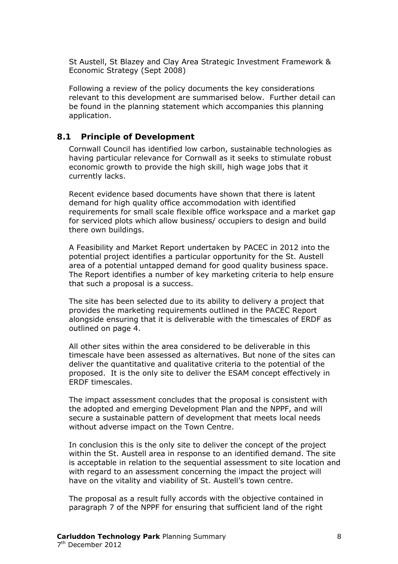St Austell, St Blazey and Clay Area Strategic Investment Framewor k & Economic Strategy (Sept 2008)

Following a r eview of the policy documents the key considerations relevant to this development are summarised below. Further detail can be found in the planning statement which accompanies this planning application.

#### <span id="page-7-0"></span>**8.1 Principle of Development**

Cornwall Council has identified low carbon, sustainable technologies as having particular relevance for Cornwall as it seeks to stimulate robust economic growth to provide the high skill, high wage jobs that it currently lacks.

demand for high quality office accommodation with identified requirements for small scale flexible office workspace and a market gap Recent evidence based documents have shown that there is latent for serviced plots which allow business/ occupiers to design and build there own buildings.

potential project identifies a particular opportunity for the St. Austell area of a potential untapped demand for good quality business space. A Feasibility and Market Report undertaken by PACEC in 2012 into the The Report identifies a number of key marketing criteria to help ensure that such a proposal is a success.

The site has been selected due to its ability to delivery a project that rovides the marketing requirements outlined in the PACEC Report p alongside ensuring that it is deliverable with the timescales of ERDF as outlined on page 4.

timescale have been assessed as alternatives. But none of the sites can deliver the quantitative and qualitative criteria to the potential of the All other sites within the area considered to be deliverable in this proposed. It is the only site to deliver the ESAM concept effectively in ERDF timescales.

The impact assessment concludes that the proposal is consistent with the adopted and emerging Development Plan and the NPPF, and will secure a sustainable pattern of development that meets local needs without adverse impact on the Town Centre.

within the St. Austell area in response to an identified demand. The site is acceptable in relation to the sequential assessment to site location and In conclusion this is the only site to deliver the concept of the project with regard to an assessment concerning the impact the project will have on the vitality and viability of St. Austell's town centre.

The proposal as a result fully accords with the objective contained in paragraph 7 of the NPPF for ensuring that sufficient land of the right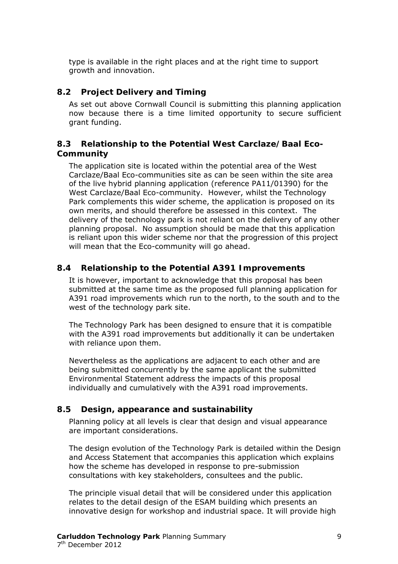type is available in the right places and at the right time to support growth and innovation.

#### <span id="page-8-0"></span>**8.2 Project Delivery and Timing**

As set out above Cornwall Council is submitting this planning application now because there is a time limited opportunity to secure sufficient grant funding.

#### <span id="page-8-1"></span>**8.3 Relationship to the Potential West Carclaze/Baal Eco-Co mmunity**

delivery of the technology park is not reliant on the delivery of any other planning proposal. No assumption should be made that this application is reliant upon this wider scheme nor that the progression of this project The application site is located within the potential area of the West Carclaze/Baal Eco-communities site as can be seen within the site area of the live hybrid planning application (reference PA11/01390) for the West Carclaze/Baal Eco-community. However, whilst the Technology Park complements this wider scheme, the application is proposed on its own merits, and should therefore be assessed in this context. The will mean that the Eco-community will go ahead.

#### <span id="page-8-2"></span>**8.4 Relationship to the Potential A391 Improvements**

It is however, important to acknowledge that this proposal has been submitted at the same time as the proposed full planning application for A391 road improvements which run to the north, to the south and to the west of the technology park site.

The Technology Park has been designed to ensure that it is compatible with the A391 road improvements but additionally it can be undertaken with reliance upon them.

being submitted concurrently by the same applicant the submitted Environmental Statement address the impacts of this proposal Nevertheless as the applications are adjacent to each other and are individually and cumulatively with the A391 road improvements.

#### <span id="page-8-3"></span>**8.5 Design, appearance and sustainability**

Planning policy at all levels is clear that design and visual appearance are important considerations.

The design evolution of the Technology Park is detailed within the Design and Access Statement that accompanies this application which explains how the scheme has developed in response to pre-submission consultations with key stakeholders, consultees and the public.

innovative design for workshop and industrial space. It will provide high The principle visual detail that will be considered under this application relates to the detail design of the ESAM building which presents an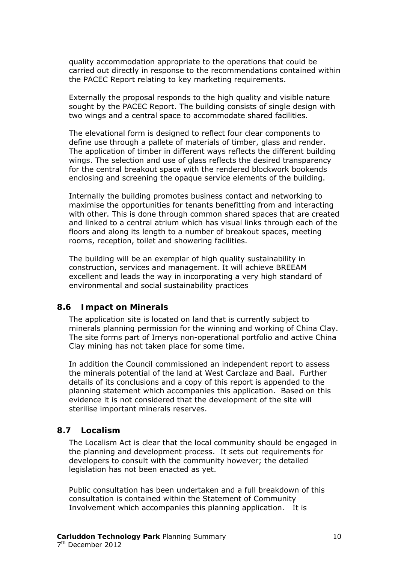quality accommodation appropriate to the operations that could be carried out directly in response to the recommendations contained within the PACEC Report relating to key marketing requirements.

Externally the proposal responds to the high quality and visible nature sought by the PACEC Report. The building consists of single design with two wings and a central space to accommodate shared facilities.

wings. The selection and use of glass reflects the desired transparency The elevational form is designed to reflect four clear components to define use through a pallete of materials of timber, glass and render. The application of timber in different ways reflects the different building for the central breakout space with the rendered blockwork bookends enclosing and screening the opaque service elements of the building.

maximise the opportunities for tenants benefitting from and interacting with other. This is done through common shared spaces that are created and linked to a central atrium which has visual links through each of the floors and along its length to a number of breakout spaces, meeting Internally the building promotes business contact and networking to rooms, reception, toilet and showering facilities.

The building will be an exemplar of high quality sustainability in construction, services and management. It will achieve BREEAM excellent and leads the way in incorporating a very high standard of environmental and social sustainability practices

#### <span id="page-9-0"></span>**8.6 Impact on Minerals**

The application site is located on land that is currently subject to minerals planning permission for the winning and working of China Clay. The site forms part of Imerys non-operational portfolio and active China Clay mining has not taken place for some time.

the minerals potential of the land at West Carclaze and Baal. Further details of its conclusions and a copy of this report is appended to the planning statement which accompanies this application. Based on this evidence it is not considered that the development of the site will sterilise important minerals reserves. In addition the Council commissioned an independent report to assess

#### <span id="page-9-1"></span>**8.7 Localism**

The Localism Act is clear that the local community should be engaged in the planning and development process. It sets out requirements for developers to consult with the community however; the detailed legislation has not been enacted as yet.

Public consultation has been undertaken and a full breakdown of this consultation is contained within the Statement of Community Involvement which accompanies this planning application. It is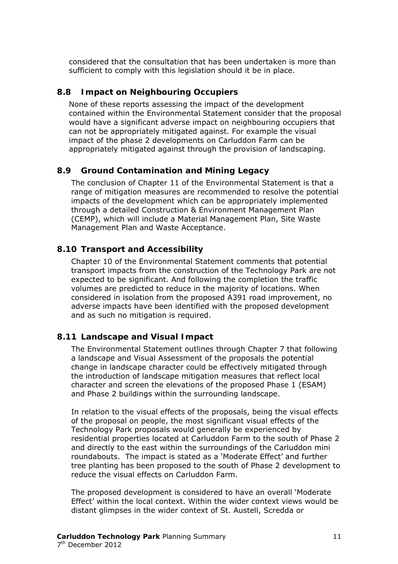considered that the consultation that has been undertaken is more than sufficient to comply with this legislation should it be in place.

#### <span id="page-10-0"></span>**8.8 Impact on Neighbouring Occupiers**

None of these reports assessing the impact of the development contained within the Environmental Statement consider that the proposal would have a significant adverse impact on neighbouring occupiers that can not be appropriately mitigated against. For example the visual impact of the phase 2 developments on Carluddon Farm can be appropriately mitigated against through the provision of landscaping.

#### <span id="page-10-1"></span> **Ground Contamination and Mining Legacy 8.9**

The conclusion of Chapter 11 of the Environmental Statement is tha t a range of mitigation measures are recommended to resolve the poten tial impacts of the development which can be approp riately implemented through a detailed Construction & Environment Management Plan (CEMP), which will include a Material Management Plan, Site Waste Management Plan and Waste Acceptance.

#### <span id="page-10-2"></span>**8.1 0 Transport and Accessibility**

volumes are predicted to reduce in the majority of locations. When considered in isolation from the proposed A391 road improvement, no adverse impacts have been identified with the proposed development Chapter 10 of the Environmental Statement comments that potential transport impacts from the construction of the Technology Park are not expected to be significant. And following the completion the traffic and as such no mitigation is required.

#### <span id="page-10-3"></span>**8.1 1 Landscape and Visual Impact**

The Environmental Statement outlines through Chapter 7 that following change in landscape character could be effectively mitigated through the introduction of landscape mitigation measures that reflect local a landscape and Visual Assessment of the proposals the potential character and screen the elevations of the proposed Phase 1 (ESAM) and Phase 2 buildings within the surrounding landscape.

and directly to the east within the surroundings of the Carluddon mini In relation to the visual effects of the proposals, being the visual effects of the proposal on people, the most significant visual effects of the Technology Park proposals would generally be experienced by residential properties located at Carluddon Farm to the south of Phase 2 roundabouts. The impact is stated as a 'Moderate Effect' and further tree planting has been proposed to the south of Phase 2 development to reduce the visual effects on Carluddon Farm.

The proposed development is considered to have an overall 'Moderate Effect' within the local context. Within the wider context views would be distant glimpses in the wider context of St. Austell, Scredda or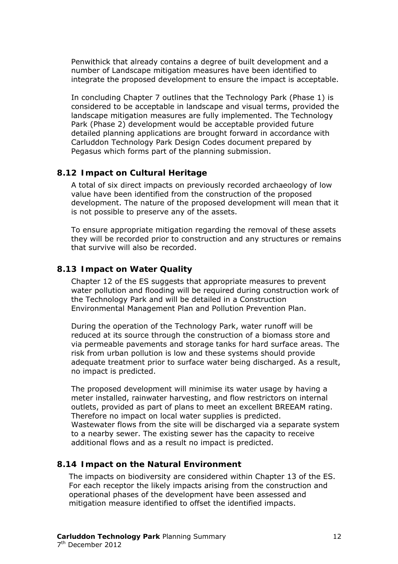Penwithick that already contains a degree of built development and a number of Landscape mitigation measures have been identified to integrate the proposed development to ensure the impact is acceptable.

In concluding Chapter 7 outlines that the Technology Park (Phase 1) is considered to be acceptable in landscape and visual terms, provided the landscape mitigation measures are fully implemented. The Technology Park (Phase 2) development would be acceptable provided future detailed planning applications are brought forward in accordance with Carluddon Technology Park Design Codes document prepared by Pegasus which forms part of the planning submission.

#### <span id="page-11-0"></span>**8.1 2 Impact on Cultural Heritage**

A total of six direct impacts on previously recorded archaeology of low value have been identified from the construction of the proposed development. The nature of the proposed development will mean that it is not possible to preserve any of the assets.

To ensure appropriate mitigation regarding the removal of these assets they will be recorded prior to construction and any structures or remains that survive will also be recorded.

#### <span id="page-11-1"></span>**8.1 3 Impact on Water Quality**

Chapter 12 of the ES suggests that appropriate measures to prevent water pollution and flooding will be required during construction work of the Technology Park and will be detailed in a Construction Environmental Management Plan and Pollution Prevention Plan.

via permeable pavements and storage tanks for hard surface areas. The risk from urban pollution is low and these systems should provide adequate treatment prior to surface water being discharged. As a result, During the operation of the Technology Park, water runoff will be reduced at its source through the construction of a biomass store and no impact is predicted.

The proposed development will minimise its water usage by having a outlets, provided as part of plans to meet an excellent BREEAM rating. . Therefore no impact on local water supplies is predicted Wastewater flows from the site will be discharged via a separate system to a nearby sewer. The existing sewer has the capacity to receive additional flows and as a result no impact is predicted. meter installed, rainwater harvesting, and flow restrictors on internal

#### <span id="page-11-2"></span>**8.1 4 Impact on the Natural Environment**

The impacts on biodiversity are considered within Chapter 13 of the ES. For each receptor the likely impacts arising from the construction and operational phases of the development have been assessed and mitigation measure identified to offset the identified impacts.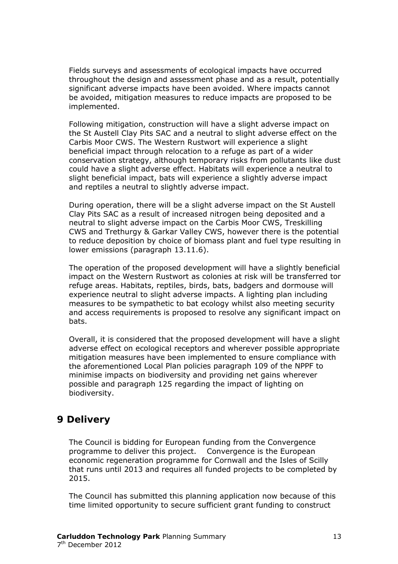Fields surveys and assessments of ecological impacts have occurred throughout the design and assessment phase and as a result, potentially significant adverse impacts have been avoided. Where impacts cannot be avoided, mitigation measures to reduce impacts are proposed to be implemented.

Following mitigation, construction will have a slight adverse impact on conservation strategy, although temporary risks from pollutants like dust ould have a slight adverse effect. Habitats will experience a neutral to c the St Austell Clay Pits SAC and a neutral to slight adverse effect on the Carbis Moor CWS. The Western Rustwort will experience a slight beneficial impact through relocation to a refuge as part of a wider slight beneficial impact, bats will experience a slightly adverse impact and reptiles a neutral to slightly adverse impact.

neutral to slight adverse impact on the Carbis Moor CWS, Treskilling CWS and Trethurgy & Garkar Valley CWS, however there is the potential During operation, there will be a slight adverse impact on the St Austell Clay Pits SAC as a result of increased nitrogen being deposited and a to reduce deposition by choice of biomass plant and fuel type resulting in lower emissions (paragraph 13.11.6).

The operation of the proposed development will have a slightly beneficial experience neutral to slight adverse impacts. A lighting plan including measures to be sympathetic to bat ecology whilst also meeting security impact on the Western Rustwort as colonies at risk will be transferred tor refuge areas. Habitats, reptiles, birds, bats, badgers and dormouse will and access requirements is proposed to resolve any significant impact on bats.

Overall, it is considered that the proposed development will have a slight adverse effect on ecological receptors and wherever possible appropriate mitigation measures have been implemented to ensure compliance with the aforementioned Local Plan policies paragraph 109 of the NPPF to minimise impacts on biodiversity and providing net gains wherever possible and paragraph 125 regarding the impact of lighting on biodiversity.

# <span id="page-12-0"></span>**9 D elivery**

programme to deliver this project. Convergence is the European economic regeneration programme for Cornwall and the Isles of Scilly The Council is bidding for European funding from the Convergence that runs until 2013 and requires all funded projects to be completed by 2015.

time limited opportunity to secure sufficient grant funding to construct The Council has submitted this planning application now because of this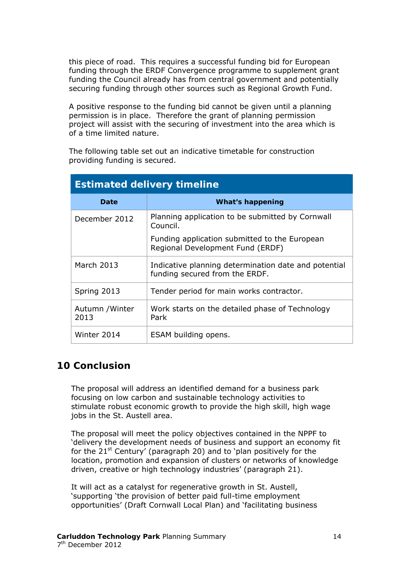this piece of road. This requires a successful funding bid for European funding through the ERDF Convergence programme to supplement grant funding the Council already has from central government and potentially securing funding through other sources such as Regional Growth Fund.

permission is in place. Therefore the grant of planning permission project will assist with the securing of investment into the area which is A positive response to the funding bid cannot be given until a planning of a time limited nature.

The following table set out an indicative timetable for construction providing funding is secured.

| <b>Estimated delivery timeline</b> |                                                                                        |  |  |
|------------------------------------|----------------------------------------------------------------------------------------|--|--|
| Date                               | <b>What's happening</b>                                                                |  |  |
| December 2012                      | Planning application to be submitted by Cornwall<br>Council.                           |  |  |
|                                    | Funding application submitted to the European<br>Regional Development Fund (ERDF)      |  |  |
| March 2013                         | Indicative planning determination date and potential<br>funding secured from the ERDF. |  |  |
| Spring 2013                        | Tender period for main works contractor.                                               |  |  |
| Autumn / Winter<br>2013            | Work starts on the detailed phase of Technology<br>Park                                |  |  |
| Winter 2014                        | ESAM building opens.                                                                   |  |  |

# <span id="page-13-0"></span>**10 Conclusion**

focusing on low carbon and sustainable technology activities to stimulate robust economic growth to provide the high skill, high wage The proposal will address an identified demand for a business park jobs in the St. Austell area.

The proposal will meet the policy objectives contained in the NPPF to for the 21<sup>st</sup> Century' (paragraph 20) and to 'plan positively for the location, promotion and expansion of clusters or networks of knowledge 'delivery the development needs of business and support an economy fit driven, creative or high technology industries' (paragraph 21).

opportunities' (Draft Cornwall Local Plan) and 'facilitating business It will act as a catalyst for regenerative growth in St. Austell, 'supporting 'the provision of better paid full-time employment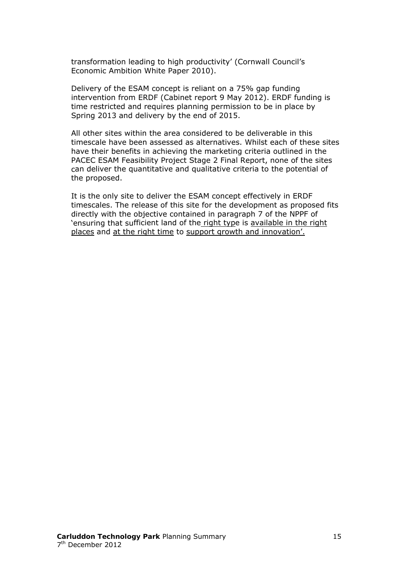transformation leading to high productivity' (Cornwall Council's Economic Ambition White Paper 2010).

intervention from ERDF (Cabinet report 9 May 2012). ERDF funding is time restricted and requires planning permission to be in place by Delivery of the ESAM concept is reliant on a 75% gap funding Spring 2013 and delivery by the end of 2015.

PACEC ESAM Feasibility Project Stage 2 Final Report, none of the sites can deliver the quantitative and qualitative criteria to the potential of All other sites within the area considered to be deliverable in this timescale have been assessed as alternatives. Whilst each of these sites have their benefits in achieving the marketing criteria outlined in the the proposed.

timescales. The release of this site for the development as proposed fits directly with the objective contained in paragraph 7 of the NPPF of 'ensuring that sufficient land of the right type is available in the right It is the only site to deliver the ESAM concept effectively in ERDF places and at the right time to support growth and innovation'.